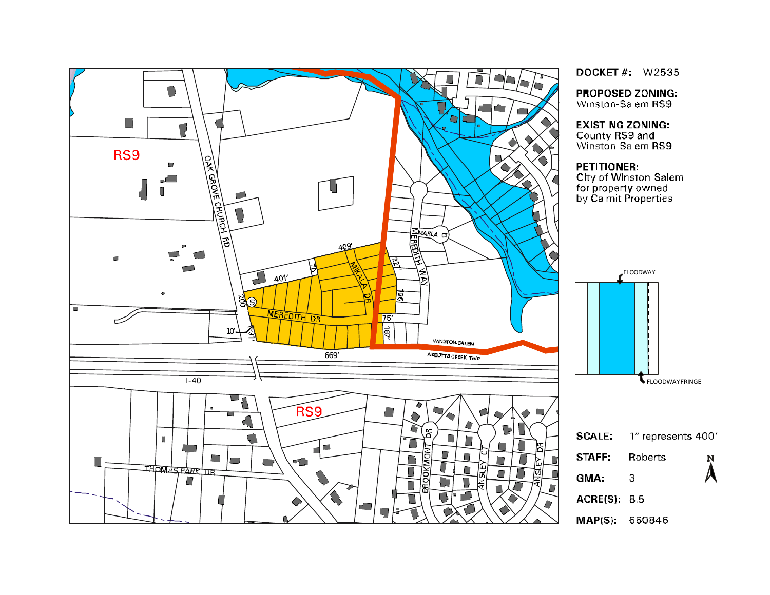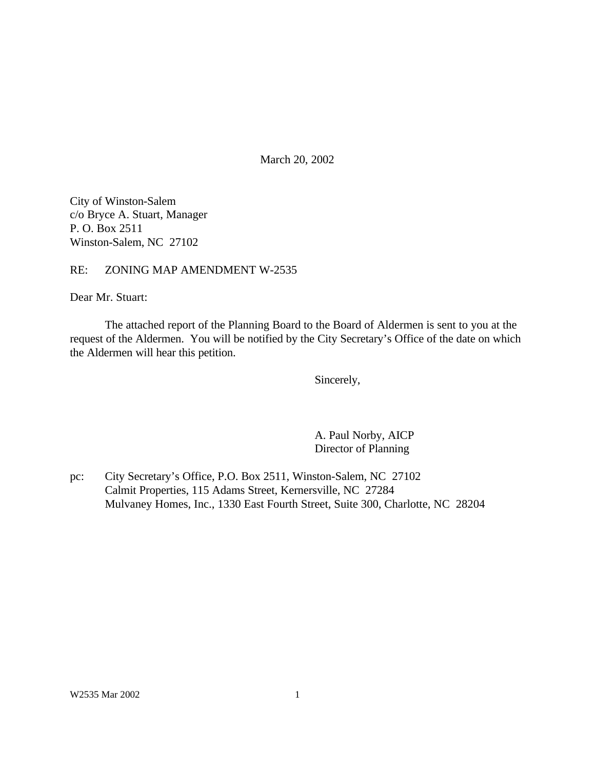March 20, 2002

City of Winston-Salem c/o Bryce A. Stuart, Manager P. O. Box 2511 Winston-Salem, NC 27102

RE: ZONING MAP AMENDMENT W-2535

Dear Mr. Stuart:

The attached report of the Planning Board to the Board of Aldermen is sent to you at the request of the Aldermen. You will be notified by the City Secretary's Office of the date on which the Aldermen will hear this petition.

Sincerely,

A. Paul Norby, AICP Director of Planning

pc: City Secretary's Office, P.O. Box 2511, Winston-Salem, NC 27102 Calmit Properties, 115 Adams Street, Kernersville, NC 27284 Mulvaney Homes, Inc., 1330 East Fourth Street, Suite 300, Charlotte, NC 28204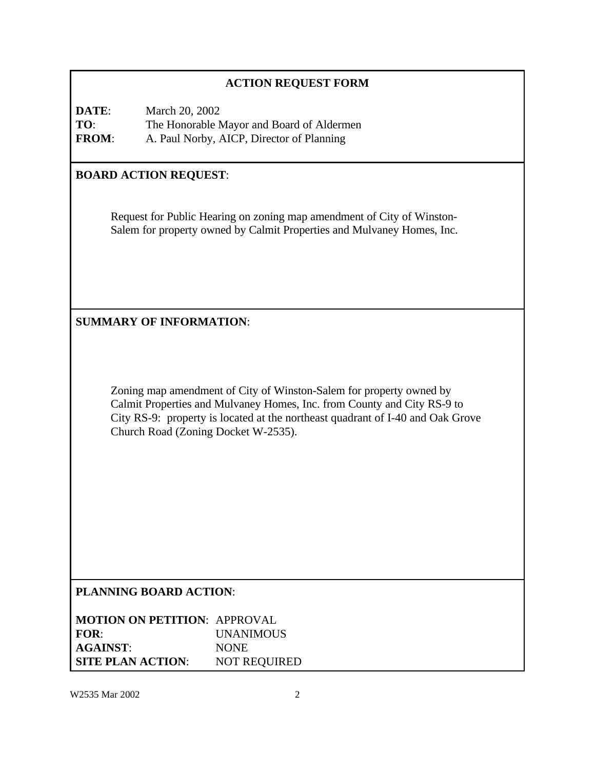# **ACTION REQUEST FORM**

**DATE**: March 20, 2002 **TO**: The Honorable Mayor and Board of Aldermen **FROM**: A. Paul Norby, AICP, Director of Planning

# **BOARD ACTION REQUEST**:

Request for Public Hearing on zoning map amendment of City of Winston-Salem for property owned by Calmit Properties and Mulvaney Homes, Inc.

# **SUMMARY OF INFORMATION**:

Zoning map amendment of City of Winston-Salem for property owned by Calmit Properties and Mulvaney Homes, Inc. from County and City RS-9 to City RS-9: property is located at the northeast quadrant of I-40 and Oak Grove Church Road (Zoning Docket W-2535).

## **PLANNING BOARD ACTION**:

| <b>MOTION ON PETITION: APPROVAL</b> |                     |
|-------------------------------------|---------------------|
| FOR:                                | <b>UNANIMOUS</b>    |
| <b>AGAINST:</b>                     | <b>NONE</b>         |
| <b>SITE PLAN ACTION:</b>            | <b>NOT REQUIRED</b> |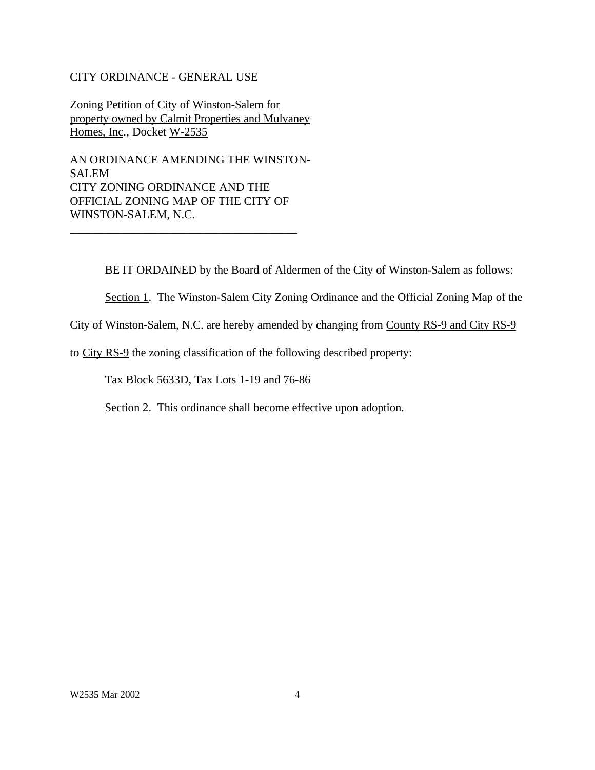#### CITY ORDINANCE - GENERAL USE

Zoning Petition of City of Winston-Salem for property owned by Calmit Properties and Mulvaney Homes, Inc., Docket W-2535

AN ORDINANCE AMENDING THE WINSTON-SALEM CITY ZONING ORDINANCE AND THE OFFICIAL ZONING MAP OF THE CITY OF WINSTON-SALEM, N.C.

\_\_\_\_\_\_\_\_\_\_\_\_\_\_\_\_\_\_\_\_\_\_\_\_\_\_\_\_\_\_\_\_\_\_\_\_\_\_\_

BE IT ORDAINED by the Board of Aldermen of the City of Winston-Salem as follows:

Section 1. The Winston-Salem City Zoning Ordinance and the Official Zoning Map of the

City of Winston-Salem, N.C. are hereby amended by changing from County RS-9 and City RS-9

to City RS-9 the zoning classification of the following described property:

Tax Block 5633D, Tax Lots 1-19 and 76-86

Section 2. This ordinance shall become effective upon adoption.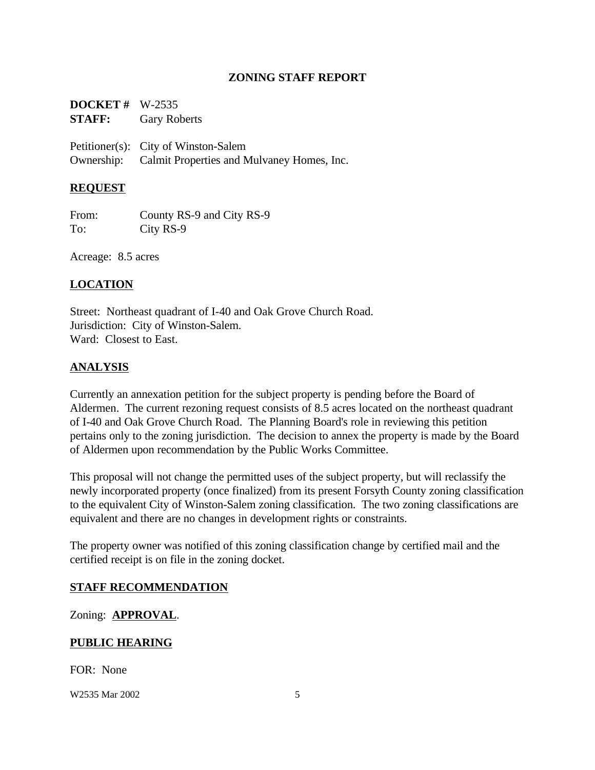#### **ZONING STAFF REPORT**

**DOCKET #** W-2535 **STAFF:** Gary Roberts

Petitioner(s): City of Winston-Salem Ownership: Calmit Properties and Mulvaney Homes, Inc.

### **REQUEST**

From: County RS-9 and City RS-9 To: City RS-9

Acreage: 8.5 acres

## **LOCATION**

Street: Northeast quadrant of I-40 and Oak Grove Church Road. Jurisdiction: City of Winston-Salem. Ward: Closest to East.

### **ANALYSIS**

Currently an annexation petition for the subject property is pending before the Board of Aldermen. The current rezoning request consists of 8.5 acres located on the northeast quadrant of I-40 and Oak Grove Church Road. The Planning Board's role in reviewing this petition pertains only to the zoning jurisdiction. The decision to annex the property is made by the Board of Aldermen upon recommendation by the Public Works Committee.

This proposal will not change the permitted uses of the subject property, but will reclassify the newly incorporated property (once finalized) from its present Forsyth County zoning classification to the equivalent City of Winston-Salem zoning classification. The two zoning classifications are equivalent and there are no changes in development rights or constraints.

The property owner was notified of this zoning classification change by certified mail and the certified receipt is on file in the zoning docket.

#### **STAFF RECOMMENDATION**

Zoning: **APPROVAL**.

#### **PUBLIC HEARING**

FOR: None

W2535 Mar 2002 5